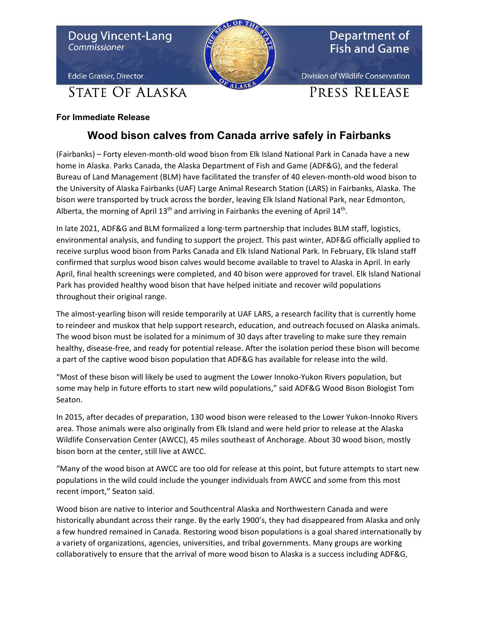

## **For Immediate Release**

## **Wood bison calves from Canada arrive safely in Fairbanks**

(Fairbanks) – Forty eleven-month-old wood bison from Elk Island National Park in Canada have a new home in Alaska. Parks Canada, the Alaska Department of Fish and Game (ADF&G), and the federal Bureau of Land Management (BLM) have facilitated the transfer of 40 eleven-month-old wood bison to the University of Alaska Fairbanks (UAF) Large Animal Research Station (LARS) in Fairbanks, Alaska. The bison were transported by truck across the border, leaving Elk Island National Park, near Edmonton, Alberta, the morning of April  $13<sup>th</sup>$  and arriving in Fairbanks the evening of April  $14<sup>th</sup>$ .

In late 2021, ADF&G and BLM formalized a long-term partnership that includes BLM staff, logistics, environmental analysis, and funding to support the project. This past winter, ADF&G officially applied to receive surplus wood bison from Parks Canada and Elk Island National Park. In February, Elk Island staff confirmed that surplus wood bison calves would become available to travel to Alaska in April. In early April, final health screenings were completed, and 40 bison were approved for travel. Elk Island National Park has provided healthy wood bison that have helped initiate and recover wild populations throughout their original range.

The almost-yearling bison will reside temporarily at UAF LARS, a research facility that is currently home to reindeer and muskox that help support research, education, and outreach focused on Alaska animals. The wood bison must be isolated for a minimum of 30 days after traveling to make sure they remain healthy, disease-free, and ready for potential release. After the isolation period these bison will become a part of the captive wood bison population that ADF&G has available for release into the wild.

"Most of these bison will likely be used to augment the Lower Innoko-Yukon Rivers population, but some may help in future efforts to start new wild populations," said ADF&G Wood Bison Biologist Tom Seaton.

In 2015, after decades of preparation, 130 wood bison were released to the Lower Yukon-Innoko Rivers area. Those animals were also originally from Elk Island and were held prior to release at the Alaska Wildlife Conservation Center (AWCC), 45 miles southeast of Anchorage. About 30 wood bison, mostly bison born at the center, still live at AWCC.

"Many of the wood bison at AWCC are too old for release at this point, but future attempts to start new populations in the wild could include the younger individuals from AWCC and some from this most recent import," Seaton said.

Wood bison are native to Interior and Southcentral Alaska and Northwestern Canada and were historically abundant across their range. By the early 1900's, they had disappeared from Alaska and only a few hundred remained in Canada. Restoring wood bison populations is a goal shared internationally by a variety of organizations, agencies, universities, and tribal governments. Many groups are working collaboratively to ensure that the arrival of more wood bison to Alaska is a success including ADF&G,